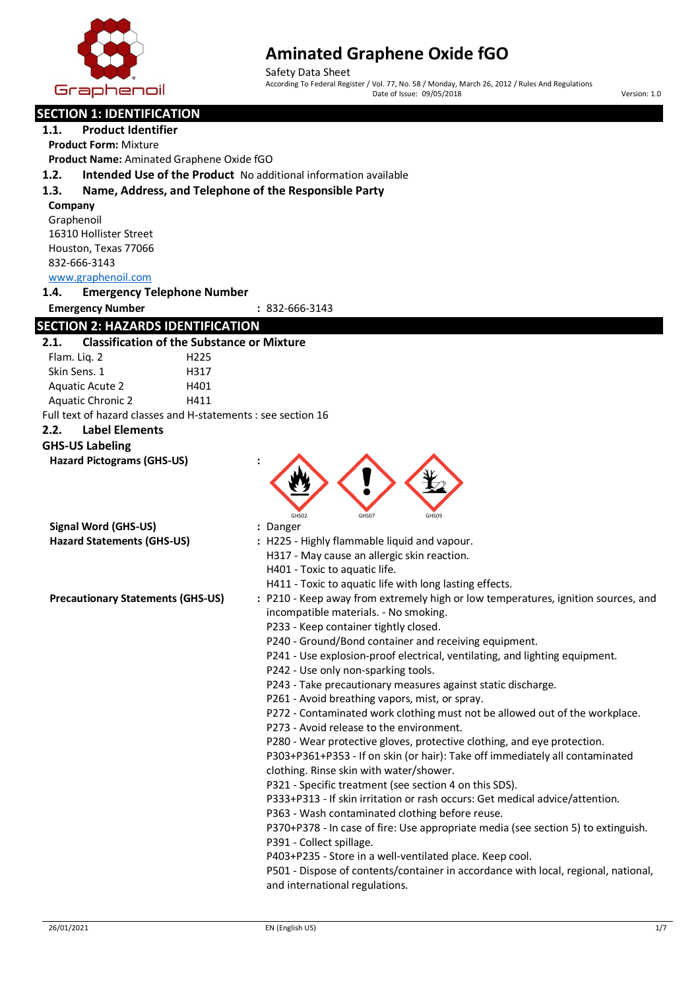

Safety Data Sheet According To Federal Register / Vol. 77, No. 58 / Monday, March 26, 2012 / Rules And Regulations Date of Issue: 09/05/2018 Version: 1.0

| <b>SECTION 1: IDENTIFICATION</b>         |                                                               |                                                                                                                                        |
|------------------------------------------|---------------------------------------------------------------|----------------------------------------------------------------------------------------------------------------------------------------|
| <b>Product Identifier</b><br>1.1.        |                                                               |                                                                                                                                        |
| <b>Product Form: Mixture</b>             |                                                               |                                                                                                                                        |
|                                          | Product Name: Aminated Graphene Oxide fGO                     |                                                                                                                                        |
| 1.2.                                     |                                                               | Intended Use of the Product No additional information available                                                                        |
| 1.3.                                     |                                                               | Name, Address, and Telephone of the Responsible Party                                                                                  |
| Company                                  |                                                               |                                                                                                                                        |
| Graphenoil                               |                                                               |                                                                                                                                        |
| 16310 Hollister Street                   |                                                               |                                                                                                                                        |
| Houston, Texas 77066                     |                                                               |                                                                                                                                        |
| 832-666-3143                             |                                                               |                                                                                                                                        |
| www.graphenoil.com                       |                                                               |                                                                                                                                        |
| 1.4.                                     | <b>Emergency Telephone Number</b>                             |                                                                                                                                        |
| <b>Emergency Number</b>                  |                                                               | : 832-666-3143                                                                                                                         |
|                                          | <b>SECTION 2: HAZARDS IDENTIFICATION</b>                      |                                                                                                                                        |
| 2.1.                                     | <b>Classification of the Substance or Mixture</b>             |                                                                                                                                        |
| Flam. Liq. 2                             | H <sub>225</sub>                                              |                                                                                                                                        |
| Skin Sens. 1                             | H317                                                          |                                                                                                                                        |
| <b>Aquatic Acute 2</b>                   | H401                                                          |                                                                                                                                        |
| <b>Aquatic Chronic 2</b>                 | H411                                                          |                                                                                                                                        |
|                                          | Full text of hazard classes and H-statements : see section 16 |                                                                                                                                        |
| <b>Label Elements</b><br>2.2.            |                                                               |                                                                                                                                        |
| <b>GHS-US Labeling</b>                   |                                                               |                                                                                                                                        |
| <b>Hazard Pictograms (GHS-US)</b>        |                                                               |                                                                                                                                        |
|                                          |                                                               |                                                                                                                                        |
|                                          |                                                               |                                                                                                                                        |
|                                          |                                                               | GHS02<br>GHS07<br>GHS09                                                                                                                |
| <b>Signal Word (GHS-US)</b>              |                                                               | : Danger                                                                                                                               |
| <b>Hazard Statements (GHS-US)</b>        |                                                               | : H225 - Highly flammable liquid and vapour.                                                                                           |
|                                          |                                                               | H317 - May cause an allergic skin reaction.                                                                                            |
|                                          |                                                               | H401 - Toxic to aquatic life.                                                                                                          |
|                                          |                                                               | H411 - Toxic to aquatic life with long lasting effects.                                                                                |
| <b>Precautionary Statements (GHS-US)</b> |                                                               | : P210 - Keep away from extremely high or low temperatures, ignition sources, and<br>incompatible materials. - No smoking.             |
|                                          |                                                               | P233 - Keep container tightly closed.                                                                                                  |
|                                          |                                                               | P240 - Ground/Bond container and receiving equipment.                                                                                  |
|                                          |                                                               | P241 - Use explosion-proof electrical, ventilating, and lighting equipment.                                                            |
|                                          |                                                               | P242 - Use only non-sparking tools.                                                                                                    |
|                                          |                                                               | P243 - Take precautionary measures against static discharge.                                                                           |
|                                          |                                                               | P261 - Avoid breathing vapors, mist, or spray.                                                                                         |
|                                          |                                                               | P272 - Contaminated work clothing must not be allowed out of the workplace.                                                            |
|                                          |                                                               | P273 - Avoid release to the environment.                                                                                               |
|                                          |                                                               | P280 - Wear protective gloves, protective clothing, and eye protection.                                                                |
|                                          |                                                               | P303+P361+P353 - If on skin (or hair): Take off immediately all contaminated                                                           |
|                                          |                                                               | clothing. Rinse skin with water/shower.                                                                                                |
|                                          |                                                               | P321 - Specific treatment (see section 4 on this SDS).<br>P333+P313 - If skin irritation or rash occurs: Get medical advice/attention. |
|                                          |                                                               | P363 - Wash contaminated clothing before reuse.                                                                                        |
|                                          |                                                               | P370+P378 - In case of fire: Use appropriate media (see section 5) to extinguish.                                                      |
|                                          |                                                               | P391 - Collect spillage.                                                                                                               |
|                                          |                                                               | P403+P235 - Store in a well-ventilated place. Keep cool.                                                                               |
|                                          |                                                               | P501 - Dispose of contents/container in accordance with local, regional, national,                                                     |
|                                          |                                                               | and international regulations.                                                                                                         |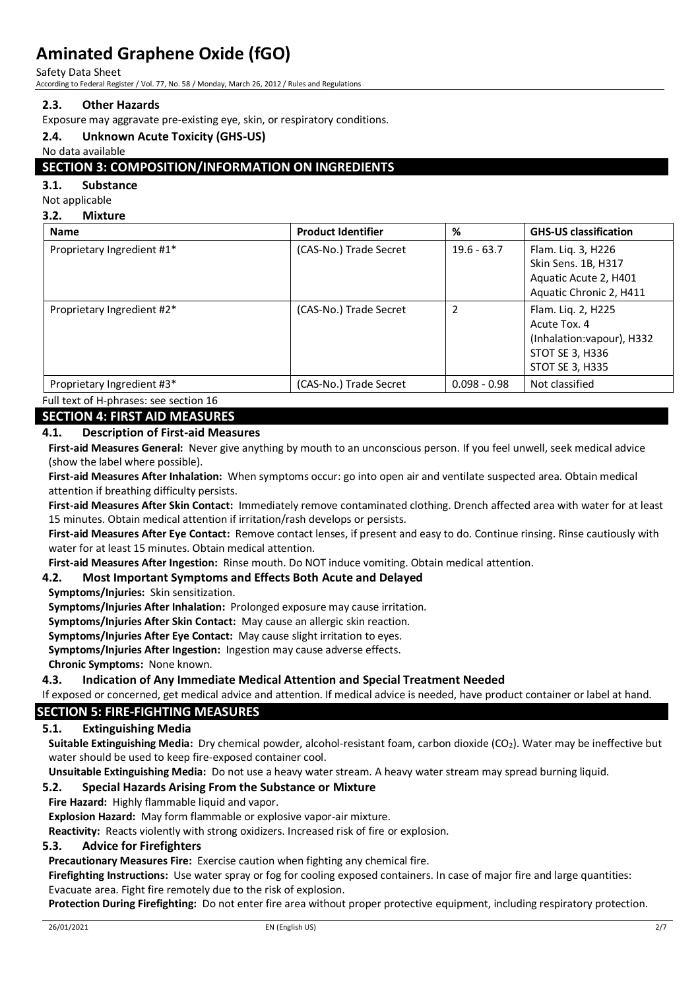Safety Data Sheet

According to Federal Register / Vol. 77, No. 58 / Monday, March 26, 2012 / Rules and Regulations

## **2.3. Other Hazards**

Exposure may aggravate pre-existing eye, skin, or respiratory conditions.

### **2.4. Unknown Acute Toxicity (GHS-US)**

No data available

## **SECTION 3: COMPOSITION/INFORMATION ON INGREDIENTS**

#### **3.1. Substance**

#### Not applicable

**3.2. Mixture**

| <b>Name</b>                | <b>Product Identifier</b> | %              | <b>GHS-US classification</b>                                                                           |
|----------------------------|---------------------------|----------------|--------------------------------------------------------------------------------------------------------|
| Proprietary Ingredient #1* | (CAS-No.) Trade Secret    | $19.6 - 63.7$  | Flam. Liq. 3, H226<br>Skin Sens. 1B, H317<br>Aquatic Acute 2, H401<br>Aquatic Chronic 2, H411          |
| Proprietary Ingredient #2* | (CAS-No.) Trade Secret    | 2              | Flam. Lig. 2, H225<br>Acute Tox. 4<br>(Inhalation: vapour), H332<br>STOT SE 3, H336<br>STOT SE 3, H335 |
| Proprietary Ingredient #3* | (CAS-No.) Trade Secret    | $0.098 - 0.98$ | Not classified                                                                                         |

Full text of H-phrases: see section 16

# **SECTION 4: FIRST AID MEASURES**

### **4.1. Description of First-aid Measures**

**First-aid Measures General:** Never give anything by mouth to an unconscious person. If you feel unwell, seek medical advice (show the label where possible).

**First-aid Measures After Inhalation:** When symptoms occur: go into open air and ventilate suspected area. Obtain medical attention if breathing difficulty persists.

**First-aid Measures After Skin Contact:** Immediately remove contaminated clothing. Drench affected area with water for at least 15 minutes. Obtain medical attention if irritation/rash develops or persists.

**First-aid Measures After Eye Contact:** Remove contact lenses, if present and easy to do. Continue rinsing. Rinse cautiously with water for at least 15 minutes. Obtain medical attention.

**First-aid Measures After Ingestion:** Rinse mouth. Do NOT induce vomiting. Obtain medical attention.

#### **4.2. Most Important Symptoms and Effects Both Acute and Delayed**

**Symptoms/Injuries:** Skin sensitization.

**Symptoms/Injuries After Inhalation:** Prolonged exposure may cause irritation.

**Symptoms/Injuries After Skin Contact:** May cause an allergic skin reaction.

**Symptoms/Injuries After Eye Contact:** May cause slight irritation to eyes.

**Symptoms/Injuries After Ingestion:** Ingestion may cause adverse effects.

**Chronic Symptoms:** None known.

#### **4.3. Indication of Any Immediate Medical Attention and Special Treatment Needed**

If exposed or concerned, get medical advice and attention. If medical advice is needed, have product container or label at hand.

## **SECTION 5: FIRE-FIGHTING MEASURES**

#### **5.1. Extinguishing Media**

**Suitable Extinguishing Media:** Dry chemical powder, alcohol-resistant foam, carbon dioxide (CO2). Water may be ineffective but water should be used to keep fire-exposed container cool.

**Unsuitable Extinguishing Media:** Do not use a heavy water stream. A heavy water stream may spread burning liquid.

## **5.2. Special Hazards Arising From the Substance or Mixture**

**Fire Hazard:** Highly flammable liquid and vapor.

**Explosion Hazard:** May form flammable or explosive vapor-air mixture.

**Reactivity:** Reacts violently with strong oxidizers. Increased risk of fire or explosion.

#### **5.3. Advice for Firefighters**

**Precautionary Measures Fire:** Exercise caution when fighting any chemical fire.

**Firefighting Instructions:** Use water spray or fog for cooling exposed containers. In case of major fire and large quantities: Evacuate area. Fight fire remotely due to the risk of explosion.

**Protection During Firefighting:** Do not enter fire area without proper protective equipment, including respiratory protection.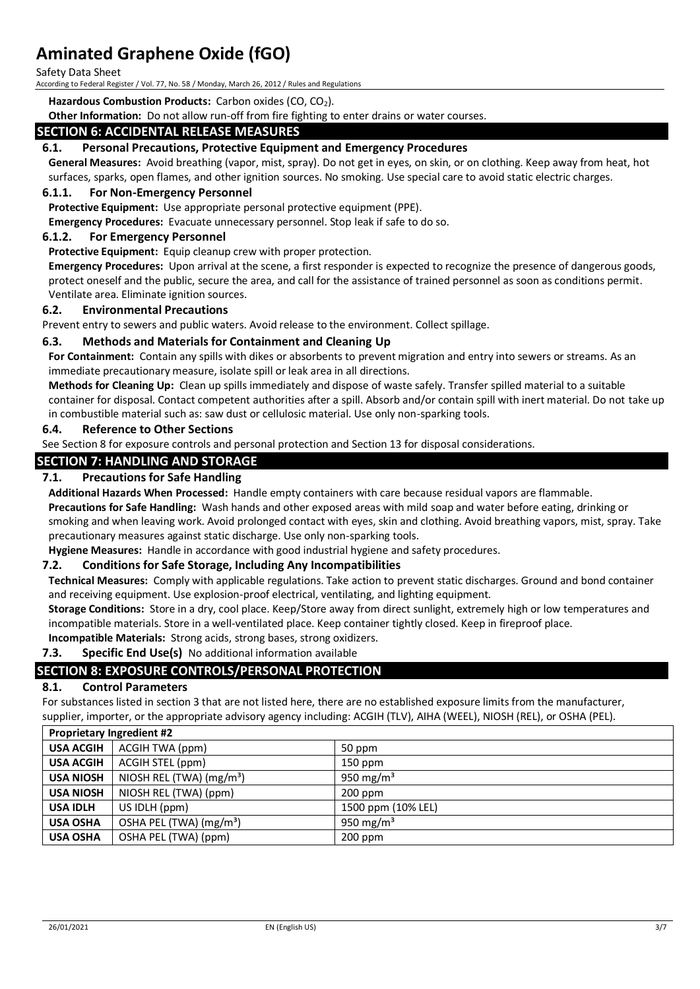Safety Data Sheet

According to Federal Register / Vol. 77, No. 58 / Monday, March 26, 2012 / Rules and Regulations

**Hazardous Combustion Products: Carbon oxides (CO, CO<sub>2</sub>).** 

**Other Information:** Do not allow run-off from fire fighting to enter drains or water courses.

#### **SECTION 6: ACCIDENTAL RELEASE MEASURES**

#### **6.1. Personal Precautions, Protective Equipment and Emergency Procedures**

**General Measures:** Avoid breathing (vapor, mist, spray). Do not get in eyes, on skin, or on clothing. Keep away from heat, hot surfaces, sparks, open flames, and other ignition sources. No smoking. Use special care to avoid static electric charges.

### **6.1.1. For Non-Emergency Personnel**

**Protective Equipment:** Use appropriate personal protective equipment (PPE).

**Emergency Procedures:** Evacuate unnecessary personnel. Stop leak if safe to do so.

#### **6.1.2. For Emergency Personnel**

**Protective Equipment:** Equip cleanup crew with proper protection.

**Emergency Procedures:** Upon arrival at the scene, a first responder is expected to recognize the presence of dangerous goods, protect oneself and the public, secure the area, and call for the assistance of trained personnel as soon as conditions permit. Ventilate area. Eliminate ignition sources.

#### **6.2. Environmental Precautions**

Prevent entry to sewers and public waters. Avoid release to the environment. Collect spillage.

#### **6.3. Methods and Materials for Containment and Cleaning Up**

**For Containment:** Contain any spills with dikes or absorbents to prevent migration and entry into sewers or streams. As an immediate precautionary measure, isolate spill or leak area in all directions.

**Methods for Cleaning Up:** Clean up spills immediately and dispose of waste safely. Transfer spilled material to a suitable container for disposal. Contact competent authorities after a spill. Absorb and/or contain spill with inert material. Do not take up in combustible material such as: saw dust or cellulosic material. Use only non-sparking tools.

#### **6.4. Reference to Other Sections**

See Section 8 for exposure controls and personal protection and Section 13 for disposal considerations.

# **SECTION 7: HANDLING AND STORAGE**

#### **7.1. Precautions for Safe Handling**

**Additional Hazards When Processed:** Handle empty containers with care because residual vapors are flammable. **Precautions for Safe Handling:** Wash hands and other exposed areas with mild soap and water before eating, drinking or smoking and when leaving work. Avoid prolonged contact with eyes, skin and clothing. Avoid breathing vapors, mist, spray. Take precautionary measures against static discharge. Use only non-sparking tools.

**Hygiene Measures:** Handle in accordance with good industrial hygiene and safety procedures.

#### **7.2. Conditions for Safe Storage, Including Any Incompatibilities**

**Technical Measures:** Comply with applicable regulations. Take action to prevent static discharges. Ground and bond container and receiving equipment. Use explosion-proof electrical, ventilating, and lighting equipment.

**Storage Conditions:** Store in a dry, cool place. Keep/Store away from direct sunlight, extremely high or low temperatures and incompatible materials. Store in a well-ventilated place. Keep container tightly closed. Keep in fireproof place.

**Incompatible Materials:** Strong acids, strong bases, strong oxidizers.

# **7.3. Specific End Use(s)** No additional information available

#### **SECTION 8: EXPOSURE CONTROLS/PERSONAL PROTECTION**

#### **8.1. Control Parameters**

For substances listed in section 3 that are not listed here, there are no established exposure limits from the manufacturer, supplier, importer, or the appropriate advisory agency including: ACGIH (TLV), AIHA (WEEL), NIOSH (REL), or OSHA (PEL).

| <b>Proprietary Ingredient #2</b> |                                     |                    |
|----------------------------------|-------------------------------------|--------------------|
| <b>USA ACGIH</b>                 | ACGIH TWA (ppm)                     | 50 ppm             |
| <b>USA ACGIH</b>                 | ACGIH STEL (ppm)                    | $150$ ppm          |
| <b>USA NIOSH</b>                 | NIOSH REL (TWA) $(mg/m3)$           | 950 mg/m $3$       |
| <b>USA NIOSH</b>                 | NIOSH REL (TWA) (ppm)               | $200$ ppm          |
| <b>USA IDLH</b>                  | US IDLH (ppm)                       | 1500 ppm (10% LEL) |
| <b>USA OSHA</b>                  | OSHA PEL (TWA) (mg/m <sup>3</sup> ) | 950 mg/m $3$       |
| <b>USA OSHA</b>                  | OSHA PEL (TWA) (ppm)                | $200$ ppm          |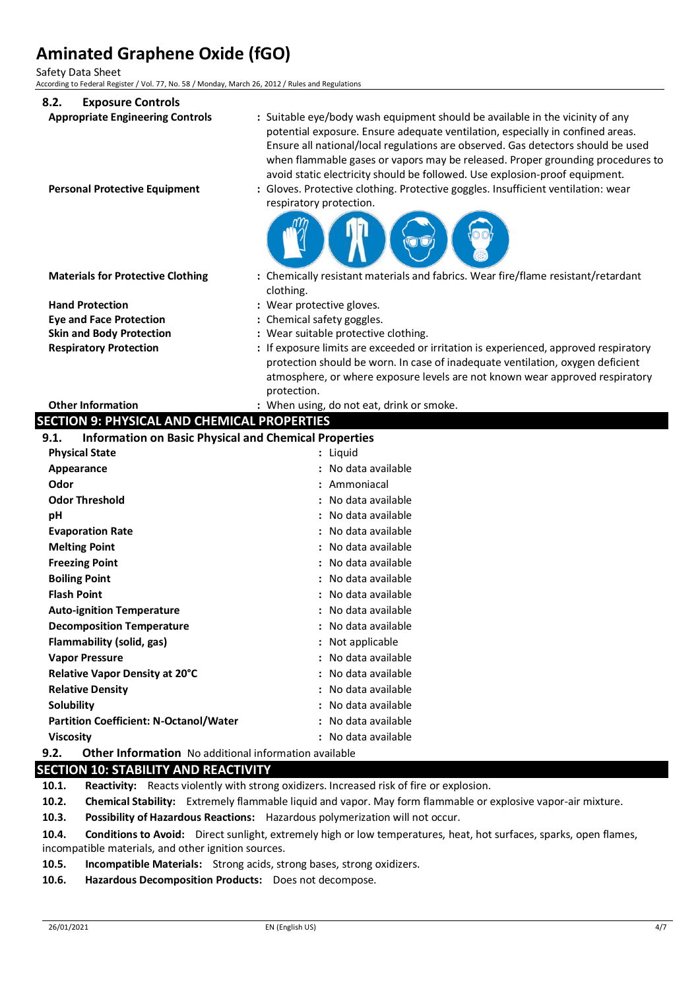Safety Data Sheet

According to Federal Register / Vol. 77, No. 58 / Monday, March 26, 2012 / Rules and Regulations

| 8.2.<br><b>Exposure Controls</b>                                                |                                                                                                                                                                                                                                                                                                                                                                                                                                                                                                                                      |
|---------------------------------------------------------------------------------|--------------------------------------------------------------------------------------------------------------------------------------------------------------------------------------------------------------------------------------------------------------------------------------------------------------------------------------------------------------------------------------------------------------------------------------------------------------------------------------------------------------------------------------|
| <b>Appropriate Engineering Controls</b><br><b>Personal Protective Equipment</b> | : Suitable eye/body wash equipment should be available in the vicinity of any<br>potential exposure. Ensure adequate ventilation, especially in confined areas.<br>Ensure all national/local regulations are observed. Gas detectors should be used<br>when flammable gases or vapors may be released. Proper grounding procedures to<br>avoid static electricity should be followed. Use explosion-proof equipment.<br>: Gloves. Protective clothing. Protective goggles. Insufficient ventilation: wear<br>respiratory protection. |
|                                                                                 |                                                                                                                                                                                                                                                                                                                                                                                                                                                                                                                                      |
| <b>Materials for Protective Clothing</b>                                        | : Chemically resistant materials and fabrics. Wear fire/flame resistant/retardant                                                                                                                                                                                                                                                                                                                                                                                                                                                    |
|                                                                                 | clothing.                                                                                                                                                                                                                                                                                                                                                                                                                                                                                                                            |
| <b>Hand Protection</b>                                                          | : Wear protective gloves.                                                                                                                                                                                                                                                                                                                                                                                                                                                                                                            |
| <b>Eye and Face Protection</b><br><b>Skin and Body Protection</b>               | : Chemical safety goggles.<br>: Wear suitable protective clothing.                                                                                                                                                                                                                                                                                                                                                                                                                                                                   |
| <b>Respiratory Protection</b>                                                   | : If exposure limits are exceeded or irritation is experienced, approved respiratory                                                                                                                                                                                                                                                                                                                                                                                                                                                 |
|                                                                                 | protection should be worn. In case of inadequate ventilation, oxygen deficient                                                                                                                                                                                                                                                                                                                                                                                                                                                       |
|                                                                                 | atmosphere, or where exposure levels are not known wear approved respiratory                                                                                                                                                                                                                                                                                                                                                                                                                                                         |
|                                                                                 | protection.                                                                                                                                                                                                                                                                                                                                                                                                                                                                                                                          |
| <b>Other Information</b>                                                        | : When using, do not eat, drink or smoke.                                                                                                                                                                                                                                                                                                                                                                                                                                                                                            |
| <b>SECTION 9: PHYSICAL AND CHEMICAL PROPERTIES</b>                              |                                                                                                                                                                                                                                                                                                                                                                                                                                                                                                                                      |
| <b>Information on Basic Physical and Chemical Properties</b><br>9.1.            |                                                                                                                                                                                                                                                                                                                                                                                                                                                                                                                                      |
| <b>Physical State</b>                                                           | : Liquid                                                                                                                                                                                                                                                                                                                                                                                                                                                                                                                             |
| Appearance                                                                      | : No data available                                                                                                                                                                                                                                                                                                                                                                                                                                                                                                                  |
| Odor                                                                            | : Ammoniacal                                                                                                                                                                                                                                                                                                                                                                                                                                                                                                                         |
| <b>Odor Threshold</b>                                                           | No data available                                                                                                                                                                                                                                                                                                                                                                                                                                                                                                                    |
| pH                                                                              | No data available                                                                                                                                                                                                                                                                                                                                                                                                                                                                                                                    |
| <b>Evaporation Rate</b>                                                         | No data available                                                                                                                                                                                                                                                                                                                                                                                                                                                                                                                    |
| <b>Melting Point</b>                                                            | No data available                                                                                                                                                                                                                                                                                                                                                                                                                                                                                                                    |
| <b>Freezing Point</b>                                                           | : No data available                                                                                                                                                                                                                                                                                                                                                                                                                                                                                                                  |
| <b>Boiling Point</b>                                                            | No data available                                                                                                                                                                                                                                                                                                                                                                                                                                                                                                                    |
| <b>Flash Point</b>                                                              | : No data available                                                                                                                                                                                                                                                                                                                                                                                                                                                                                                                  |
| <b>Auto-ignition Temperature</b>                                                | No data available                                                                                                                                                                                                                                                                                                                                                                                                                                                                                                                    |
| <b>Decomposition Temperature</b>                                                | : No data available                                                                                                                                                                                                                                                                                                                                                                                                                                                                                                                  |
| Flammability (solid, gas)                                                       | Not applicable                                                                                                                                                                                                                                                                                                                                                                                                                                                                                                                       |
| <b>Vapor Pressure</b>                                                           | : No data available                                                                                                                                                                                                                                                                                                                                                                                                                                                                                                                  |
| Relative Vapor Density at 20°C                                                  | : No data available                                                                                                                                                                                                                                                                                                                                                                                                                                                                                                                  |
| <b>Relative Density</b>                                                         | : No data available                                                                                                                                                                                                                                                                                                                                                                                                                                                                                                                  |
| Solubility                                                                      | : No data available                                                                                                                                                                                                                                                                                                                                                                                                                                                                                                                  |
| <b>Partition Coefficient: N-Octanol/Water</b>                                   | : No data available                                                                                                                                                                                                                                                                                                                                                                                                                                                                                                                  |
| <b>Viscosity</b>                                                                | : No data available                                                                                                                                                                                                                                                                                                                                                                                                                                                                                                                  |
| Other Information No additional information available<br>9.2.                   |                                                                                                                                                                                                                                                                                                                                                                                                                                                                                                                                      |

# **SECTION 10: STABILITY AND REACTIVITY**

**10.1. Reactivity:** Reacts violently with strong oxidizers. Increased risk of fire or explosion.

**10.2. Chemical Stability:** Extremely flammable liquid and vapor. May form flammable or explosive vapor-air mixture.

**10.3. Possibility of Hazardous Reactions:** Hazardous polymerization will not occur.

**10.4. Conditions to Avoid:** Direct sunlight, extremely high or low temperatures, heat, hot surfaces, sparks, open flames, incompatible materials, and other ignition sources.

- **10.5. Incompatible Materials:** Strong acids, strong bases, strong oxidizers.
- **10.6. Hazardous Decomposition Products:** Does not decompose.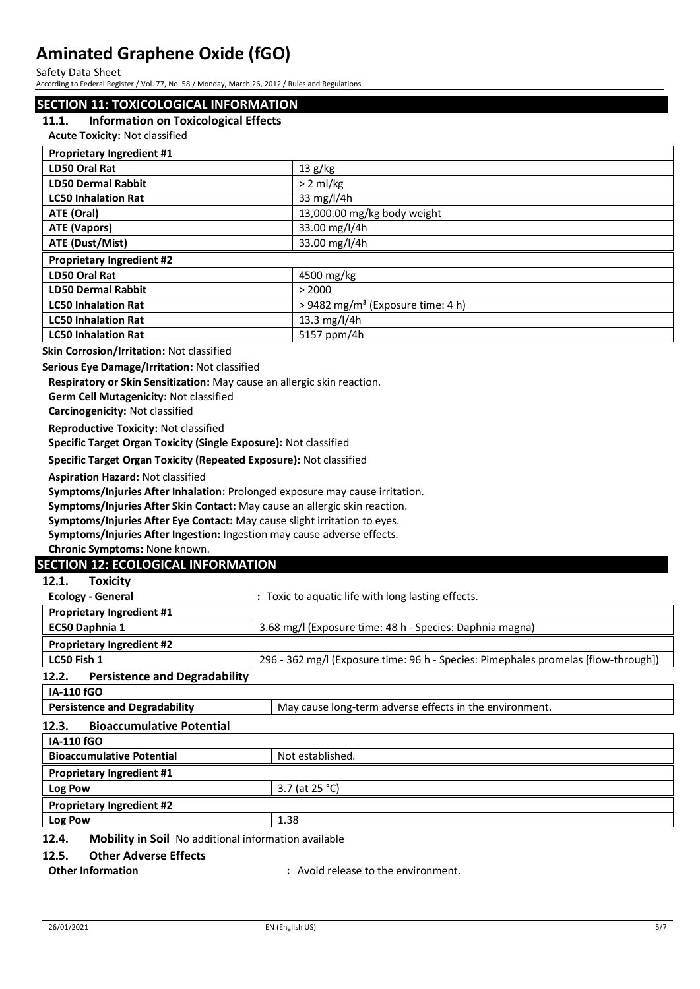Safety Data Sheet

According to Federal Register / Vol. 77, No. 58 / Monday, March 26, 2012 / Rules and Regulations

### **SECTION 11: TOXICOLOGICAL INFORMATION**

#### **11.1. Information on Toxicological Effects**

**Acute Toxicity:** Not classified

| <b>Proprietary Ingredient #1</b> |                                               |
|----------------------------------|-----------------------------------------------|
| LD50 Oral Rat                    | 13 g/kg                                       |
| <b>LD50 Dermal Rabbit</b>        | $> 2$ ml/kg                                   |
| <b>LC50 Inhalation Rat</b>       | 33 mg/l/4h                                    |
| ATE (Oral)                       | 13,000.00 mg/kg body weight                   |
| ATE (Vapors)                     | 33.00 mg/l/4h                                 |
| ATE (Dust/Mist)                  | 33.00 mg/l/4h                                 |
| <b>Proprietary Ingredient #2</b> |                                               |
| LD50 Oral Rat                    | 4500 mg/kg                                    |
| <b>LD50 Dermal Rabbit</b>        | > 2000                                        |
| <b>LC50 Inhalation Rat</b>       | > 9482 mg/m <sup>3</sup> (Exposure time: 4 h) |
| <b>LC50 Inhalation Rat</b>       | 13.3 mg/l/4h                                  |
| <b>LC50 Inhalation Rat</b>       | 5157 ppm/4h                                   |

#### **Skin Corrosion/Irritation:** Not classified

**Serious Eye Damage/Irritation:** Not classified

**Respiratory or Skin Sensitization:** May cause an allergic skin reaction.

**Germ Cell Mutagenicity:** Not classified

**Carcinogenicity:** Not classified

**Reproductive Toxicity:** Not classified

**Specific Target Organ Toxicity (Single Exposure):** Not classified

**Specific Target Organ Toxicity (Repeated Exposure):** Not classified

**Aspiration Hazard:** Not classified

**Symptoms/Injuries After Inhalation:** Prolonged exposure may cause irritation.

**Symptoms/Injuries After Skin Contact:** May cause an allergic skin reaction.

**Symptoms/Injuries After Eye Contact:** May cause slight irritation to eyes.

**Symptoms/Injuries After Ingestion:** Ingestion may cause adverse effects.

**Chronic Symptoms:** None known.

#### **SECTION 12: ECOLOGICAL INFORMATION**

| 12.1.<br><b>Toxicity</b>                                                   |                                                                                    |
|----------------------------------------------------------------------------|------------------------------------------------------------------------------------|
| <b>Ecology - General</b>                                                   | : Toxic to aquatic life with long lasting effects.                                 |
| <b>Proprietary Ingredient #1</b>                                           |                                                                                    |
| EC50 Daphnia 1<br>3.68 mg/l (Exposure time: 48 h - Species: Daphnia magna) |                                                                                    |
| <b>Proprietary Ingredient #2</b>                                           |                                                                                    |
| LC50 Fish 1                                                                | 296 - 362 mg/l (Exposure time: 96 h - Species: Pimephales promelas [flow-through]) |
| <b>Persistence and Degradability</b><br>12.2.                              |                                                                                    |
| <b>IA-110 fGO</b>                                                          |                                                                                    |
| <b>Persistence and Degradability</b>                                       | May cause long-term adverse effects in the environment.                            |
| <b>Bioaccumulative Potential</b><br>12.3.                                  |                                                                                    |
| <b>IA-110 fGO</b>                                                          |                                                                                    |
| <b>Bioaccumulative Potential</b>                                           | Not established.                                                                   |
| <b>Proprietary Ingredient #1</b>                                           |                                                                                    |
| Log Pow                                                                    | 3.7 (at 25 °C)                                                                     |
| <b>Proprietary Ingredient #2</b>                                           |                                                                                    |
| Log Pow                                                                    | 1.38                                                                               |
| 12.4.<br><b>Mobility in Soil</b> No additional information available       |                                                                                    |

#### **12.5. Other Adverse Effects**

**Other Information :** Avoid release to the environment.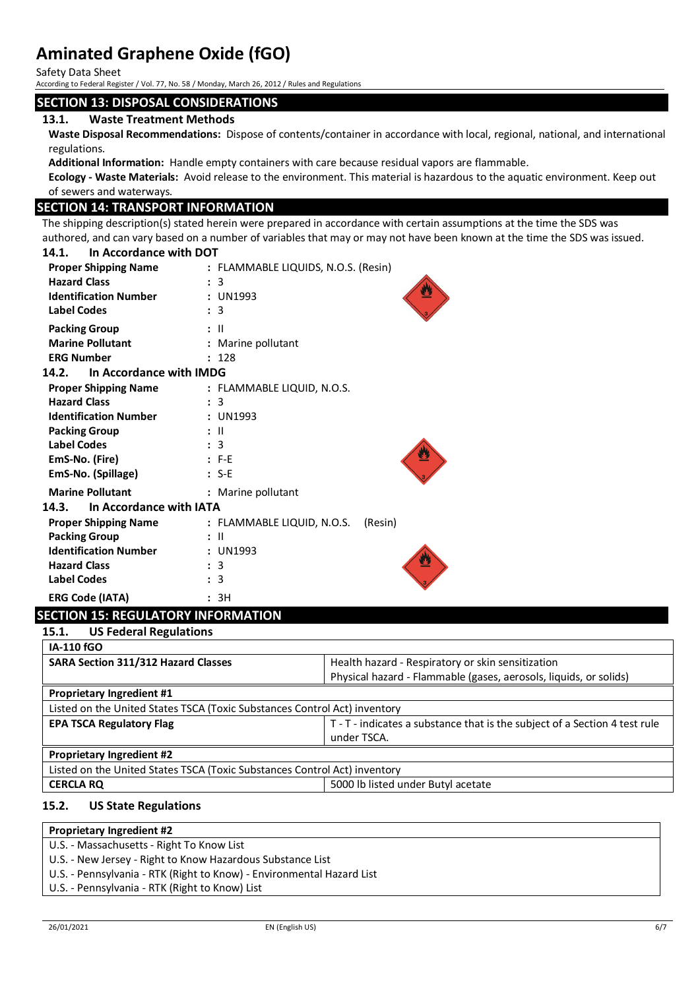Safety Data Sheet

According to Federal Register / Vol. 77, No. 58 / Monday, March 26, 2012 / Rules and Regulations

# **SECTION 13: DISPOSAL CONSIDERATIONS**

## **13.1. Waste Treatment Methods**

**Waste Disposal Recommendations:** Dispose of contents/container in accordance with local, regional, national, and international regulations.

**Additional Information:** Handle empty containers with care because residual vapors are flammable.

**Ecology - Waste Materials:** Avoid release to the environment. This material is hazardous to the aquatic environment. Keep out of sewers and waterways.

# **SECTION 14: TRANSPORT INFORMATION**

The shipping description(s) stated herein were prepared in accordance with certain assumptions at the time the SDS was authored, and can vary based on a number of variables that may or may not have been known at the time the SDS was issued.

#### **14.1. In Accordance with DOT**

| <b>Proper Shipping Name</b><br><b>Hazard Class</b><br><b>Identification Number</b><br><b>Label Codes</b> | : FLAMMABLE LIQUIDS, N.O.S. (Resin)<br>: 3<br>: UN1993<br>: 3 |
|----------------------------------------------------------------------------------------------------------|---------------------------------------------------------------|
| <b>Packing Group</b><br><b>Marine Pollutant</b><br><b>ERG Number</b>                                     | : II<br>: Marine pollutant<br>: 128                           |
| In Accordance with IMDG<br>14.2.                                                                         |                                                               |
| <b>Proper Shipping Name</b>                                                                              | : FLAMMABLE LIQUID, N.O.S.                                    |
| <b>Hazard Class</b>                                                                                      | : 3                                                           |
| <b>Identification Number</b>                                                                             | : UN1993                                                      |
| <b>Packing Group</b>                                                                                     | : II                                                          |
| <b>Label Codes</b>                                                                                       | : 3                                                           |
| EmS-No. (Fire)                                                                                           | $: F-E$                                                       |
| EmS-No. (Spillage)                                                                                       | $: S-E$                                                       |
| <b>Marine Pollutant</b>                                                                                  | : Marine pollutant                                            |
| 14.3. In Accordance with IATA                                                                            |                                                               |
| <b>Proper Shipping Name</b>                                                                              | : FLAMMABLE LIQUID, N.O.S.<br>(Resin)                         |
| <b>Packing Group</b>                                                                                     | $:$ $\mathbb{I}$                                              |
| <b>Identification Number</b>                                                                             | : UN1993                                                      |
| <b>Hazard Class</b>                                                                                      | : 3                                                           |
| <b>Label Codes</b>                                                                                       | : 3                                                           |
| <b>ERG Code (IATA)</b>                                                                                   | : 3H                                                          |

# **SECTION 15: REGULATORY INFORMATION**

| Health hazard - Respiratory or skin sensitization                          |
|----------------------------------------------------------------------------|
| Physical hazard - Flammable (gases, aerosols, liquids, or solids)          |
|                                                                            |
| Listed on the United States TSCA (Toxic Substances Control Act) inventory  |
| T - T - indicates a substance that is the subject of a Section 4 test rule |
| under TSCA.                                                                |
|                                                                            |
| Listed on the United States TSCA (Toxic Substances Control Act) inventory  |
| 5000 lb listed under Butyl acetate                                         |
|                                                                            |

#### **15.2. US State Regulations**

# **Proprietary Ingredient #2**

- U.S. Massachusetts Right To Know List
- U.S. New Jersey Right to Know Hazardous Substance List
- U.S. Pennsylvania RTK (Right to Know) Environmental Hazard List
- U.S. Pennsylvania RTK (Right to Know) List